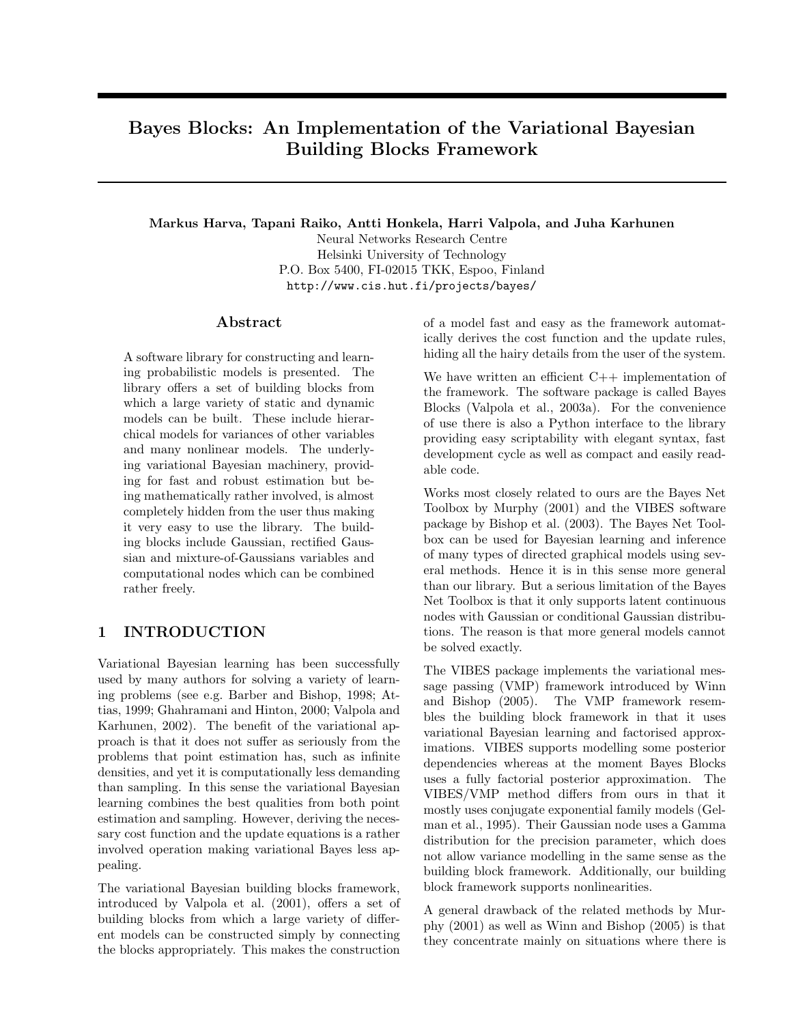# Bayes Blocks: An Implementation of the Variational Bayesian Building Blocks Framework

Markus Harva, Tapani Raiko, Antti Honkela, Harri Valpola, and Juha Karhunen

Neural Networks Research Centre Helsinki University of Technology P.O. Box 5400, FI-02015 TKK, Espoo, Finland http://www.cis.hut.fi/projects/bayes/

## Abstract

A software library for constructing and learning probabilistic models is presented. The library offers a set of building blocks from which a large variety of static and dynamic models can be built. These include hierarchical models for variances of other variables and many nonlinear models. The underlying variational Bayesian machinery, providing for fast and robust estimation but being mathematically rather involved, is almost completely hidden from the user thus making it very easy to use the library. The building blocks include Gaussian, rectified Gaussian and mixture-of-Gaussians variables and computational nodes which can be combined rather freely.

# 1 INTRODUCTION

Variational Bayesian learning has been successfully used by many authors for solving a variety of learning problems (see e.g. Barber and Bishop, 1998; Attias, 1999; Ghahramani and Hinton, 2000; Valpola and Karhunen, 2002). The benefit of the variational approach is that it does not suffer as seriously from the problems that point estimation has, such as infinite densities, and yet it is computationally less demanding than sampling. In this sense the variational Bayesian learning combines the best qualities from both point estimation and sampling. However, deriving the necessary cost function and the update equations is a rather involved operation making variational Bayes less appealing.

The variational Bayesian building blocks framework, introduced by Valpola et al. (2001), offers a set of building blocks from which a large variety of different models can be constructed simply by connecting the blocks appropriately. This makes the construction

of a model fast and easy as the framework automatically derives the cost function and the update rules, hiding all the hairy details from the user of the system.

We have written an efficient  $C++$  implementation of the framework. The software package is called Bayes Blocks (Valpola et al., 2003a). For the convenience of use there is also a Python interface to the library providing easy scriptability with elegant syntax, fast development cycle as well as compact and easily readable code.

Works most closely related to ours are the Bayes Net Toolbox by Murphy (2001) and the VIBES software package by Bishop et al. (2003). The Bayes Net Toolbox can be used for Bayesian learning and inference of many types of directed graphical models using several methods. Hence it is in this sense more general than our library. But a serious limitation of the Bayes Net Toolbox is that it only supports latent continuous nodes with Gaussian or conditional Gaussian distributions. The reason is that more general models cannot be solved exactly.

The VIBES package implements the variational message passing (VMP) framework introduced by Winn and Bishop (2005). The VMP framework resembles the building block framework in that it uses variational Bayesian learning and factorised approximations. VIBES supports modelling some posterior dependencies whereas at the moment Bayes Blocks uses a fully factorial posterior approximation. The VIBES/VMP method differs from ours in that it mostly uses conjugate exponential family models (Gelman et al., 1995). Their Gaussian node uses a Gamma distribution for the precision parameter, which does not allow variance modelling in the same sense as the building block framework. Additionally, our building block framework supports nonlinearities.

A general drawback of the related methods by Murphy (2001) as well as Winn and Bishop (2005) is that they concentrate mainly on situations where there is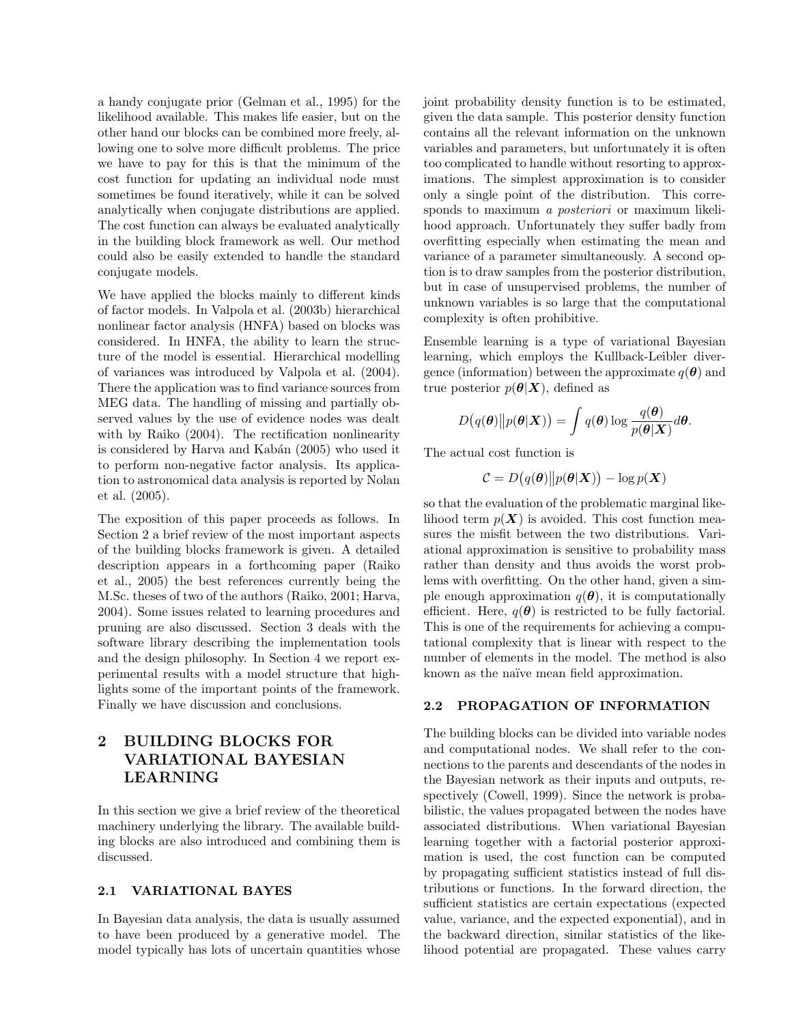a handy conjugate prior (Gelman et al., 1995) for the likelihood available. This makes life easier, but on the other hand our blocks can be combined more freely, allowing one to solve more difficult problems. The price we have to pay for this is that the minimum of the cost function for updating an individual node must sometimes be found iteratively, while it can be solved analytically when conjugate distributions are applied. The cost function can always be evaluated analytically in the building block framework as well. Our method could also be easily extended to handle the standard conjugate models.

We have applied the blocks mainly to different kinds of factor models. In Valpola et al. (2003b) hierarchical nonlinear factor analysis (HNFA) based on blocks was considered. In HNFA, the ability to learn the structure of the model is essential. Hierarchical modelling of variances was introduced by Valpola et al. (2004). There the application was to find variance sources from MEG data. The handling of missing and partially observed values by the use of evidence nodes was dealt with by Raiko (2004). The rectification nonlinearity is considered by Harva and Kabán (2005) who used it to perform non-negative factor analysis. Its application to astronomical data analysis is reported by Nolan et al. (2005).

The exposition of this paper proceeds as follows. In Section 2 a brief review of the most important aspects of the building blocks framework is given. A detailed description appears in a forthcoming paper (Raiko et al., 2005) the best references currently being the M.Sc. theses of two of the authors (Raiko, 2001; Harva, 2004). Some issues related to learning procedures and pruning are also discussed. Section 3 deals with the software library describing the implementation tools and the design philosophy. In Section 4 we report experimental results with a model structure that highlights some of the important points of the framework. Finally we have discussion and conclusions.

# 2 BUILDING BLOCKS FOR VARIATIONAL BAYESIAN LEARNING

In this section we give a brief review of the theoretical machinery underlying the library. The available building blocks are also introduced and combining them is discussed.

### 2.1 VARIATIONAL BAYES

In Bayesian data analysis, the data is usually assumed to have been produced by a generative model. The model typically has lots of uncertain quantities whose

joint probability density function is to be estimated, given the data sample. This posterior density function contains all the relevant information on the unknown variables and parameters, but unfortunately it is often too complicated to handle without resorting to approximations. The simplest approximation is to consider only a single point of the distribution. This corresponds to maximum *a posteriori* or maximum likelihood approach. Unfortunately they suffer badly from overfitting especially when estimating the mean and variance of a parameter simultaneously. A second option is to draw samples from the posterior distribution, but in case of unsupervised problems, the number of unknown variables is so large that the computational complexity is often prohibitive.

Ensemble learning is a type of variational Bayesian learning, which employs the Kullback-Leibler divergence (information) between the approximate  $q(\boldsymbol{\theta})$  and true posterior  $p(\theta|\mathbf{X})$ , defined as

$$
D(q(\boldsymbol{\theta})||p(\boldsymbol{\theta}|\boldsymbol{X})) = \int q(\boldsymbol{\theta}) \log \frac{q(\boldsymbol{\theta})}{p(\boldsymbol{\theta}|\boldsymbol{X})} d\boldsymbol{\theta}.
$$

The actual cost function is

$$
C = D(q(\boldsymbol{\theta})||p(\boldsymbol{\theta}|\boldsymbol{X})) - \log p(\boldsymbol{X})
$$

so that the evaluation of the problematic marginal likelihood term  $p(X)$  is avoided. This cost function measures the misfit between the two distributions. Variational approximation is sensitive to probability mass rather than density and thus avoids the worst problems with overfitting. On the other hand, given a simple enough approximation  $q(\boldsymbol{\theta})$ , it is computationally efficient. Here,  $q(\theta)$  is restricted to be fully factorial. This is one of the requirements for achieving a computational complexity that is linear with respect to the number of elements in the model. The method is also known as the naïve mean field approximation.

#### 2.2 PROPAGATION OF INFORMATION

The building blocks can be divided into variable nodes and computational nodes. We shall refer to the connections to the parents and descendants of the nodes in the Bayesian network as their inputs and outputs, respectively (Cowell, 1999). Since the network is probabilistic, the values propagated between the nodes have associated distributions. When variational Bayesian learning together with a factorial posterior approximation is used, the cost function can be computed by propagating sufficient statistics instead of full distributions or functions. In the forward direction, the sufficient statistics are certain expectations (expected value, variance, and the expected exponential), and in the backward direction, similar statistics of the likelihood potential are propagated. These values carry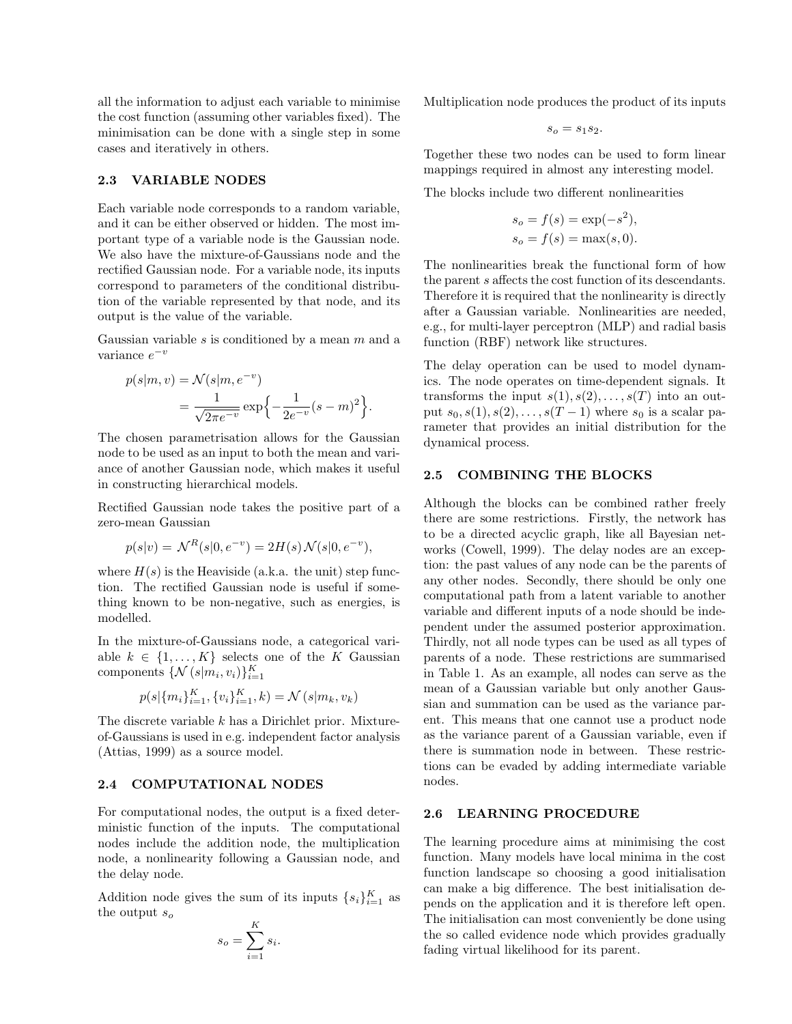all the information to adjust each variable to minimise the cost function (assuming other variables fixed). The minimisation can be done with a single step in some cases and iteratively in others.

#### 2.3 VARIABLE NODES

Each variable node corresponds to a random variable, and it can be either observed or hidden. The most important type of a variable node is the Gaussian node. We also have the mixture-of-Gaussians node and the rectified Gaussian node. For a variable node, its inputs correspond to parameters of the conditional distribution of the variable represented by that node, and its output is the value of the variable.

Gaussian variable  $s$  is conditioned by a mean  $m$  and a variance  $e^{-v}$ 

$$
p(s|m, v) = \mathcal{N}(s|m, e^{-v})
$$
  
= 
$$
\frac{1}{\sqrt{2\pi e^{-v}}}\exp\left\{-\frac{1}{2e^{-v}}(s-m)^2\right\}.
$$

The chosen parametrisation allows for the Gaussian node to be used as an input to both the mean and variance of another Gaussian node, which makes it useful in constructing hierarchical models.

Rectified Gaussian node takes the positive part of a zero-mean Gaussian

$$
p(s|v) = \mathcal{N}^R(s|0, e^{-v}) = 2H(s)\mathcal{N}(s|0, e^{-v}),
$$

where  $H(s)$  is the Heaviside (a.k.a. the unit) step function. The rectified Gaussian node is useful if something known to be non-negative, such as energies, is modelled.

In the mixture-of-Gaussians node, a categorical variable  $k \in \{1, ..., K\}$  selects one of the K Gaussian components  $\{ \mathcal{N}(s|m_i, v_i) \}_{i=1}^K$ 

$$
p(s|\{m_i\}_{i=1}^K, \{v_i\}_{i=1}^K, k) = \mathcal{N}(s|m_k, v_k)
$$

The discrete variable  $k$  has a Dirichlet prior. Mixtureof-Gaussians is used in e.g. independent factor analysis (Attias, 1999) as a source model.

#### 2.4 COMPUTATIONAL NODES

For computational nodes, the output is a fixed deterministic function of the inputs. The computational nodes include the addition node, the multiplication node, a nonlinearity following a Gaussian node, and the delay node.

Addition node gives the sum of its inputs  $\{s_i\}_{i=1}^K$  as the output  $s_o$ 

$$
s_o = \sum_{i=1}^{K} s_i.
$$

Multiplication node produces the product of its inputs

$$
s_o = s_1 s_2.
$$

Together these two nodes can be used to form linear mappings required in almost any interesting model.

The blocks include two different nonlinearities

$$
s_o = f(s) = \exp(-s^2),
$$
  
\n
$$
s_o = f(s) = \max(s, 0).
$$

The nonlinearities break the functional form of how the parent s affects the cost function of its descendants. Therefore it is required that the nonlinearity is directly after a Gaussian variable. Nonlinearities are needed, e.g., for multi-layer perceptron (MLP) and radial basis function (RBF) network like structures.

The delay operation can be used to model dynamics. The node operates on time-dependent signals. It transforms the input  $s(1), s(2), \ldots, s(T)$  into an output  $s_0, s(1), s(2), \ldots, s(T-1)$  where  $s_0$  is a scalar parameter that provides an initial distribution for the dynamical process.

## 2.5 COMBINING THE BLOCKS

Although the blocks can be combined rather freely there are some restrictions. Firstly, the network has to be a directed acyclic graph, like all Bayesian networks (Cowell, 1999). The delay nodes are an exception: the past values of any node can be the parents of any other nodes. Secondly, there should be only one computational path from a latent variable to another variable and different inputs of a node should be independent under the assumed posterior approximation. Thirdly, not all node types can be used as all types of parents of a node. These restrictions are summarised in Table 1. As an example, all nodes can serve as the mean of a Gaussian variable but only another Gaussian and summation can be used as the variance parent. This means that one cannot use a product node as the variance parent of a Gaussian variable, even if there is summation node in between. These restrictions can be evaded by adding intermediate variable nodes.

### 2.6 LEARNING PROCEDURE

The learning procedure aims at minimising the cost function. Many models have local minima in the cost function landscape so choosing a good initialisation can make a big difference. The best initialisation depends on the application and it is therefore left open. The initialisation can most conveniently be done using the so called evidence node which provides gradually fading virtual likelihood for its parent.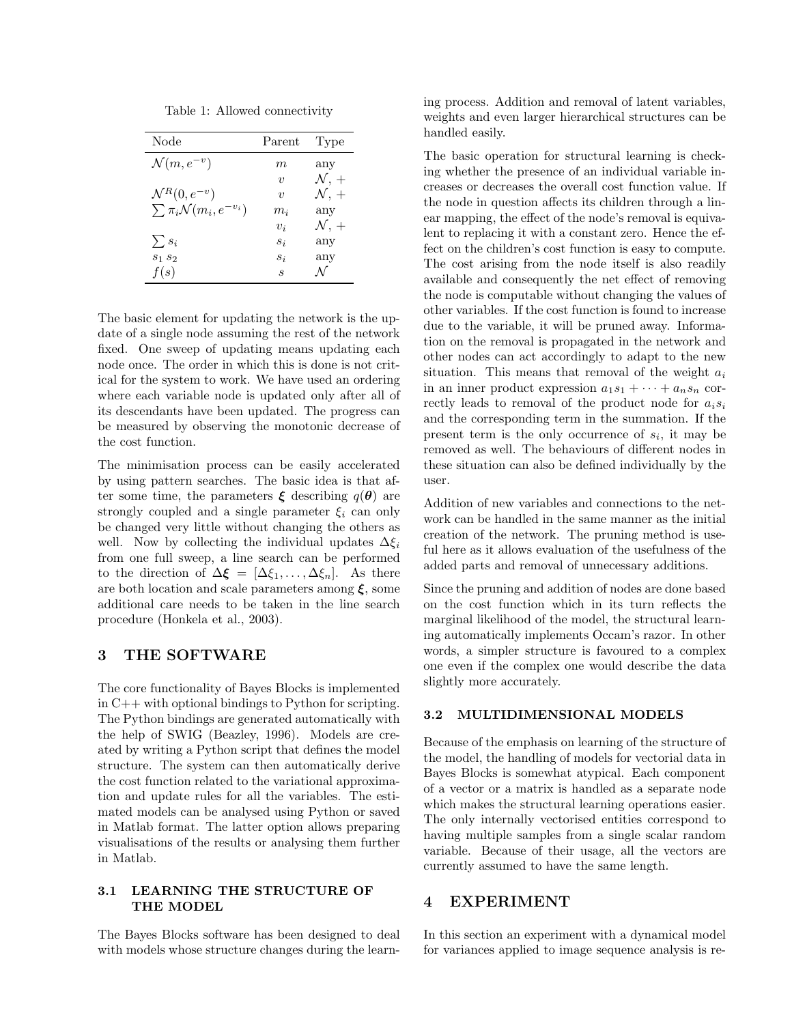Table 1: Allowed connectivity

| Node                                    | Parent              | Type                    |
|-----------------------------------------|---------------------|-------------------------|
| $\mathcal{N}(m, e^{-v})$                | m,                  | any                     |
|                                         | $\boldsymbol{\eta}$ | $\mathcal{N}, +$        |
| $\mathcal{N}^R(0, e^{-v})$              | $\boldsymbol{\eta}$ | $\mathcal{N}, +$        |
| $\sum \pi_i \mathcal{N}(m_i, e^{-v_i})$ | $m_{\it i}$         | any                     |
|                                         | $v_i$               | $\mathcal{N}, +$        |
| $\sum s_i$                              | $s_i$               | any                     |
| $s_1 s_2$                               | $s_i$               | $\mathop{\mathrm{any}}$ |
| f(s)                                    | S                   |                         |

The basic element for updating the network is the update of a single node assuming the rest of the network fixed. One sweep of updating means updating each node once. The order in which this is done is not critical for the system to work. We have used an ordering where each variable node is updated only after all of its descendants have been updated. The progress can be measured by observing the monotonic decrease of the cost function.

The minimisation process can be easily accelerated by using pattern searches. The basic idea is that after some time, the parameters  $\xi$  describing  $q(\theta)$  are strongly coupled and a single parameter  $\xi_i$  can only be changed very little without changing the others as well. Now by collecting the individual updates  $\Delta \xi_i$ from one full sweep, a line search can be performed to the direction of  $\Delta \boldsymbol{\xi} = [\Delta \xi_1, \ldots, \Delta \xi_n].$  As there are both location and scale parameters among  $\xi$ , some additional care needs to be taken in the line search procedure (Honkela et al., 2003).

## 3 THE SOFTWARE

The core functionality of Bayes Blocks is implemented in C++ with optional bindings to Python for scripting. The Python bindings are generated automatically with the help of SWIG (Beazley, 1996). Models are created by writing a Python script that defines the model structure. The system can then automatically derive the cost function related to the variational approximation and update rules for all the variables. The estimated models can be analysed using Python or saved in Matlab format. The latter option allows preparing visualisations of the results or analysing them further in Matlab.

## 3.1 LEARNING THE STRUCTURE OF THE MODEL

The Bayes Blocks software has been designed to deal with models whose structure changes during the learning process. Addition and removal of latent variables, weights and even larger hierarchical structures can be handled easily.

The basic operation for structural learning is checking whether the presence of an individual variable increases or decreases the overall cost function value. If the node in question affects its children through a linear mapping, the effect of the node's removal is equivalent to replacing it with a constant zero. Hence the effect on the children's cost function is easy to compute. The cost arising from the node itself is also readily available and consequently the net effect of removing the node is computable without changing the values of other variables. If the cost function is found to increase due to the variable, it will be pruned away. Information on the removal is propagated in the network and other nodes can act accordingly to adapt to the new situation. This means that removal of the weight  $a_i$ in an inner product expression  $a_1s_1 + \cdots + a_ns_n$  correctly leads to removal of the product node for  $a_i s_i$ and the corresponding term in the summation. If the present term is the only occurrence of  $s_i$ , it may be removed as well. The behaviours of different nodes in these situation can also be defined individually by the user.

Addition of new variables and connections to the network can be handled in the same manner as the initial creation of the network. The pruning method is useful here as it allows evaluation of the usefulness of the added parts and removal of unnecessary additions.

Since the pruning and addition of nodes are done based on the cost function which in its turn reflects the marginal likelihood of the model, the structural learning automatically implements Occam's razor. In other words, a simpler structure is favoured to a complex one even if the complex one would describe the data slightly more accurately.

## 3.2 MULTIDIMENSIONAL MODELS

Because of the emphasis on learning of the structure of the model, the handling of models for vectorial data in Bayes Blocks is somewhat atypical. Each component of a vector or a matrix is handled as a separate node which makes the structural learning operations easier. The only internally vectorised entities correspond to having multiple samples from a single scalar random variable. Because of their usage, all the vectors are currently assumed to have the same length.

## 4 EXPERIMENT

In this section an experiment with a dynamical model for variances applied to image sequence analysis is re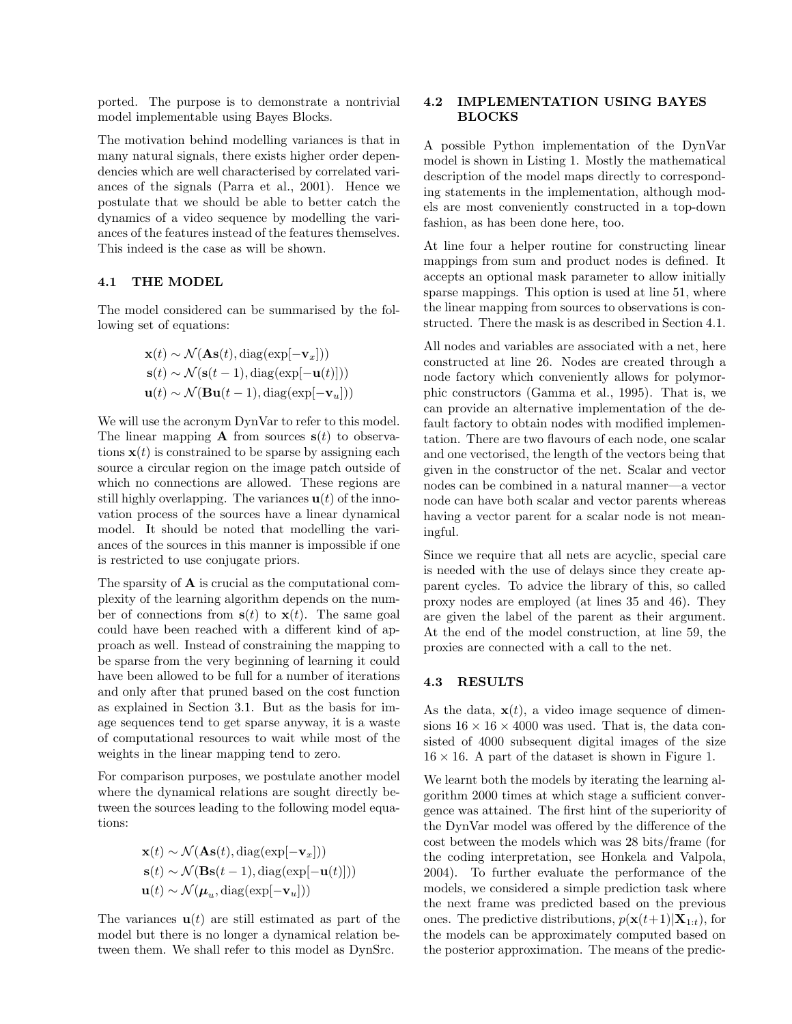ported. The purpose is to demonstrate a nontrivial model implementable using Bayes Blocks.

The motivation behind modelling variances is that in many natural signals, there exists higher order dependencies which are well characterised by correlated variances of the signals (Parra et al., 2001). Hence we postulate that we should be able to better catch the dynamics of a video sequence by modelling the variances of the features instead of the features themselves. This indeed is the case as will be shown.

## 4.1 THE MODEL

The model considered can be summarised by the following set of equations:

$$
\mathbf{x}(t) \sim \mathcal{N}(\mathbf{As}(t), \text{diag}(\exp[-\mathbf{v}_x]))
$$
  
\n
$$
\mathbf{s}(t) \sim \mathcal{N}(\mathbf{s}(t-1), \text{diag}(\exp[-\mathbf{u}(t)]))
$$
  
\n
$$
\mathbf{u}(t) \sim \mathcal{N}(\mathbf{Bu}(t-1), \text{diag}(\exp[-\mathbf{v}_u]))
$$

We will use the acronym DynVar to refer to this model. The linear mapping **A** from sources  $s(t)$  to observations  $x(t)$  is constrained to be sparse by assigning each source a circular region on the image patch outside of which no connections are allowed. These regions are still highly overlapping. The variances  $\mathbf{u}(t)$  of the innovation process of the sources have a linear dynamical model. It should be noted that modelling the variances of the sources in this manner is impossible if one is restricted to use conjugate priors.

The sparsity of A is crucial as the computational complexity of the learning algorithm depends on the number of connections from  $s(t)$  to  $x(t)$ . The same goal could have been reached with a different kind of approach as well. Instead of constraining the mapping to be sparse from the very beginning of learning it could have been allowed to be full for a number of iterations and only after that pruned based on the cost function as explained in Section 3.1. But as the basis for image sequences tend to get sparse anyway, it is a waste of computational resources to wait while most of the weights in the linear mapping tend to zero.

For comparison purposes, we postulate another model where the dynamical relations are sought directly between the sources leading to the following model equations:

$$
\mathbf{x}(t) \sim \mathcal{N}(\mathbf{As}(t), \text{diag}(\exp[-\mathbf{v}_x]))
$$
  
\n
$$
\mathbf{s}(t) \sim \mathcal{N}(\mathbf{Bs}(t-1), \text{diag}(\exp[-\mathbf{u}(t)]))
$$
  
\n
$$
\mathbf{u}(t) \sim \mathcal{N}(\boldsymbol{\mu}_u, \text{diag}(\exp[-\mathbf{v}_u]))
$$

The variances  $\mathbf{u}(t)$  are still estimated as part of the model but there is no longer a dynamical relation between them. We shall refer to this model as DynSrc.

## 4.2 IMPLEMENTATION USING BAYES BLOCKS

A possible Python implementation of the DynVar model is shown in Listing 1. Mostly the mathematical description of the model maps directly to corresponding statements in the implementation, although models are most conveniently constructed in a top-down fashion, as has been done here, too.

At line four a helper routine for constructing linear mappings from sum and product nodes is defined. It accepts an optional mask parameter to allow initially sparse mappings. This option is used at line 51, where the linear mapping from sources to observations is constructed. There the mask is as described in Section 4.1.

All nodes and variables are associated with a net, here constructed at line 26. Nodes are created through a node factory which conveniently allows for polymorphic constructors (Gamma et al., 1995). That is, we can provide an alternative implementation of the default factory to obtain nodes with modified implementation. There are two flavours of each node, one scalar and one vectorised, the length of the vectors being that given in the constructor of the net. Scalar and vector nodes can be combined in a natural manner—a vector node can have both scalar and vector parents whereas having a vector parent for a scalar node is not meaningful.

Since we require that all nets are acyclic, special care is needed with the use of delays since they create apparent cycles. To advice the library of this, so called proxy nodes are employed (at lines 35 and 46). They are given the label of the parent as their argument. At the end of the model construction, at line 59, the proxies are connected with a call to the net.

## 4.3 RESULTS

As the data,  $\mathbf{x}(t)$ , a video image sequence of dimensions  $16 \times 16 \times 4000$  was used. That is, the data consisted of 4000 subsequent digital images of the size  $16 \times 16$ . A part of the dataset is shown in Figure 1.

We learnt both the models by iterating the learning algorithm 2000 times at which stage a sufficient convergence was attained. The first hint of the superiority of the DynVar model was offered by the difference of the cost between the models which was 28 bits/frame (for the coding interpretation, see Honkela and Valpola, 2004). To further evaluate the performance of the models, we considered a simple prediction task where the next frame was predicted based on the previous ones. The predictive distributions,  $p(\mathbf{x}(t+1)|\mathbf{X}_{1:t})$ , for the models can be approximately computed based on the posterior approximation. The means of the predic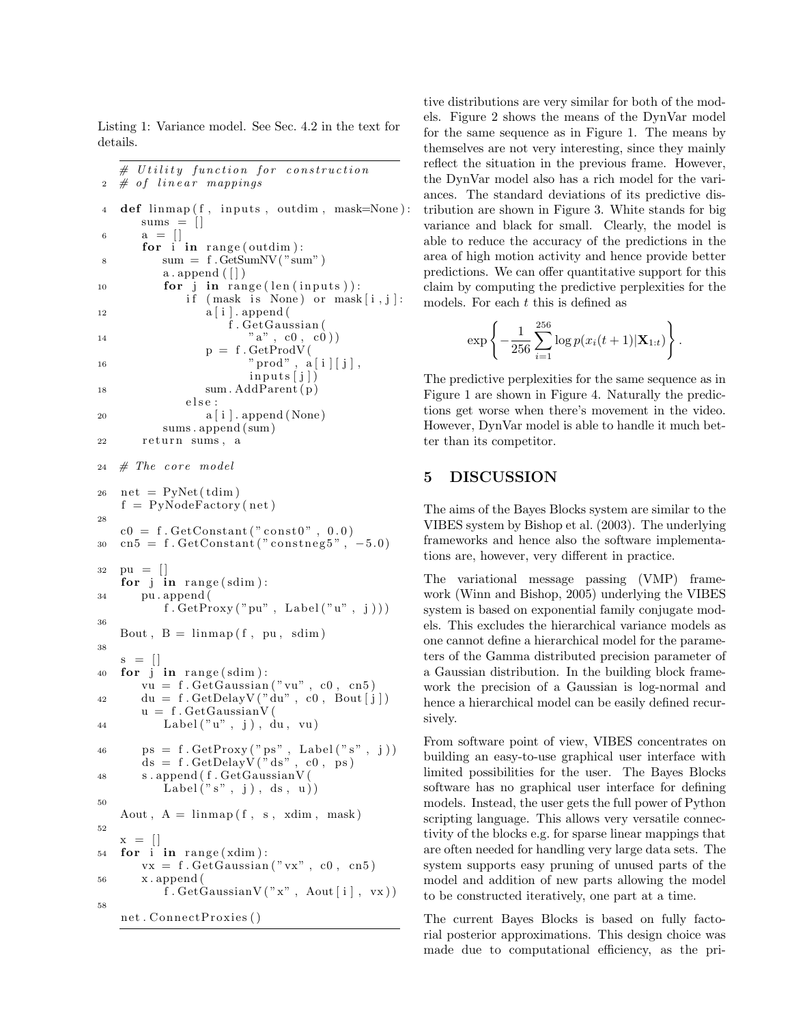Listing 1: Variance model. See Sec. 4.2 in the text for details.

```
# Utility function for construction
2 \# of linear mappings4 def limmap(f, inputs, outdim, mask=None):
      sums = \lceil \cdot \rceil6 a = []for i in range (outdim):
\text{sum} = \text{f} \cdot \text{GetSumNV}(\text{"sum"})a. append ([])
10 for \mathbf{j} in range (len (inputs)):
             if (mask is None) or mask[i, j]:
12 a [ i ] . append (
                    f . GetGaussian (
a'' \cdot c0 \cdot c0)p = f. GetProdV(
\text{"prod" , a [i] [j],}inputs[j])18 sum . AddParent(p)
             e l s e :
20 a[i]. append (None)
          sums . append ( sum)
22 r e turn sums , a
24 # The core model
26 net = PvNet(tdim)f = PyNodeFactory(net)28
   c0 = f. GetConstant ("const0", 0.0)
30 \quad \text{cn5 = f. GetConstant}('constneg5", -5.0)32 \text{ pu} = []for j in range (sdim):
34 pu . append (
          f . GetProxy("pu", Label("u", j)))36
   Bout, B = \limsup (f, pu, sdim)38
   s = []40 for \mathbf{i} in range (sdim):
      vu = f.GetGaussian("vu", c0, cn5)42 du = f . GetDelayV ( "du" , c0 , Bout [ j ])
      u = f. GetGaussianV(
44 Label ( "u" , j ) , du , vu )
\alpha_6 \qquad \text{ps = f. GetProxy}("ps", \text{ Label}("s", j))ds = f. GetDelayV("ds", c0, ps)48 s . append ( f . GetGaussianV (
          \text{Label}("s", j), ds, u)50
   Aout, A = \limsup(f, s, xdim, mask)52
   x = []54 for i in range (xdim):
      vx = f.GetGaussian("vx", c0, cn5)56 x . append (
          f. GetGaussianV("x", Aout[i], vx))58
   net . ConnectProxies ()
```
tive distributions are very similar for both of the models. Figure 2 shows the means of the DynVar model for the same sequence as in Figure 1. The means by themselves are not very interesting, since they mainly reflect the situation in the previous frame. However, the DynVar model also has a rich model for the variances. The standard deviations of its predictive distribution are shown in Figure 3. White stands for big variance and black for small. Clearly, the model is able to reduce the accuracy of the predictions in the area of high motion activity and hence provide better predictions. We can offer quantitative support for this claim by computing the predictive perplexities for the models. For each  $t$  this is defined as

$$
\exp\left\{-\frac{1}{256}\sum_{i=1}^{256}\log p(x_i(t+1)|\mathbf{X}_{1:t})\right\}.
$$

The predictive perplexities for the same sequence as in Figure 1 are shown in Figure 4. Naturally the predictions get worse when there's movement in the video. However, DynVar model is able to handle it much better than its competitor.

# 5 DISCUSSION

The aims of the Bayes Blocks system are similar to the VIBES system by Bishop et al. (2003). The underlying frameworks and hence also the software implementations are, however, very different in practice.

The variational message passing (VMP) framework (Winn and Bishop, 2005) underlying the VIBES system is based on exponential family conjugate models. This excludes the hierarchical variance models as one cannot define a hierarchical model for the parameters of the Gamma distributed precision parameter of a Gaussian distribution. In the building block framework the precision of a Gaussian is log-normal and hence a hierarchical model can be easily defined recursively.

From software point of view, VIBES concentrates on building an easy-to-use graphical user interface with limited possibilities for the user. The Bayes Blocks software has no graphical user interface for defining models. Instead, the user gets the full power of Python scripting language. This allows very versatile connectivity of the blocks e.g. for sparse linear mappings that are often needed for handling very large data sets. The system supports easy pruning of unused parts of the model and addition of new parts allowing the model to be constructed iteratively, one part at a time.

The current Bayes Blocks is based on fully factorial posterior approximations. This design choice was made due to computational efficiency, as the pri-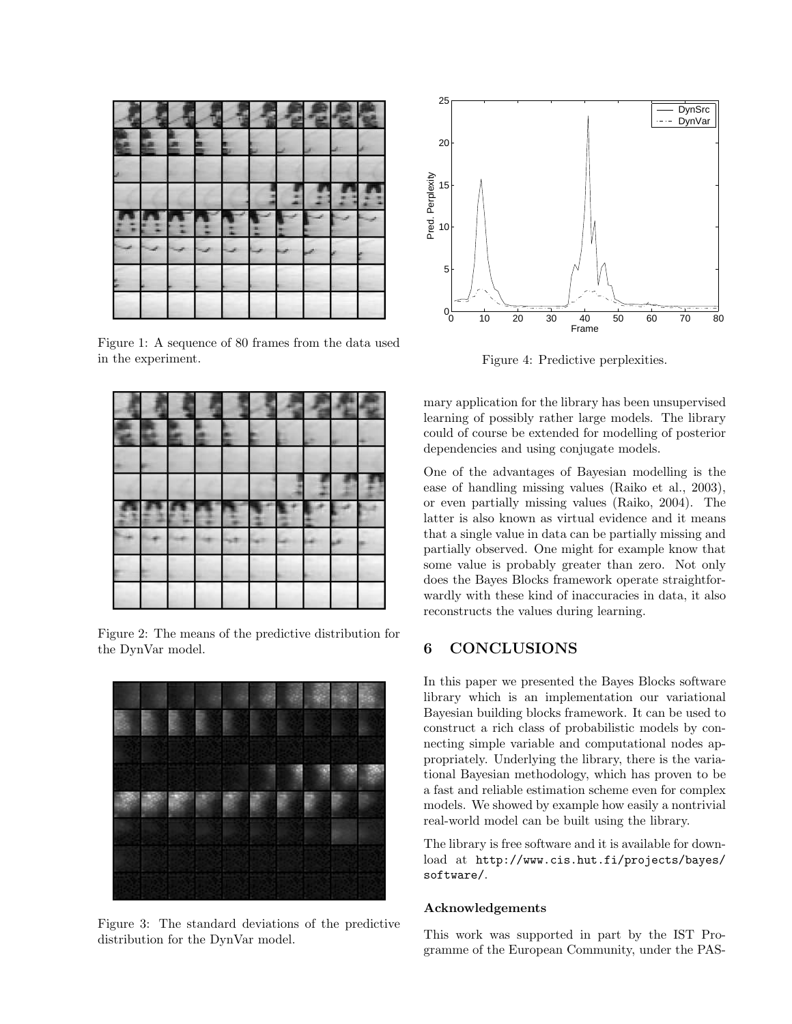Figure 1: A sequence of 80 frames from the data used in the experiment.

Figure 2: The means of the predictive distribution for the DynVar model.



Figure 3: The standard deviations of the predictive distribution for the DynVar model.



Figure 4: Predictive perplexities.

mary application for the library has been unsupervised learning of possibly rather large models. The library could of course be extended for modelling of posterior dependencies and using conjugate models.

One of the advantages of Bayesian modelling is the ease of handling missing values (Raiko et al., 2003), or even partially missing values (Raiko, 2004). The latter is also known as virtual evidence and it means that a single value in data can be partially missing and partially observed. One might for example know that some value is probably greater than zero. Not only does the Bayes Blocks framework operate straightforwardly with these kind of inaccuracies in data, it also reconstructs the values during learning.

# 6 CONCLUSIONS

In this paper we presented the Bayes Blocks software library which is an implementation our variational Bayesian building blocks framework. It can be used to construct a rich class of probabilistic models by connecting simple variable and computational nodes appropriately. Underlying the library, there is the variational Bayesian methodology, which has proven to be a fast and reliable estimation scheme even for complex models. We showed by example how easily a nontrivial real-world model can be built using the library.

The library is free software and it is available for download at http://www.cis.hut.fi/projects/bayes/ software/.

## Acknowledgements

This work was supported in part by the IST Programme of the European Community, under the PAS-